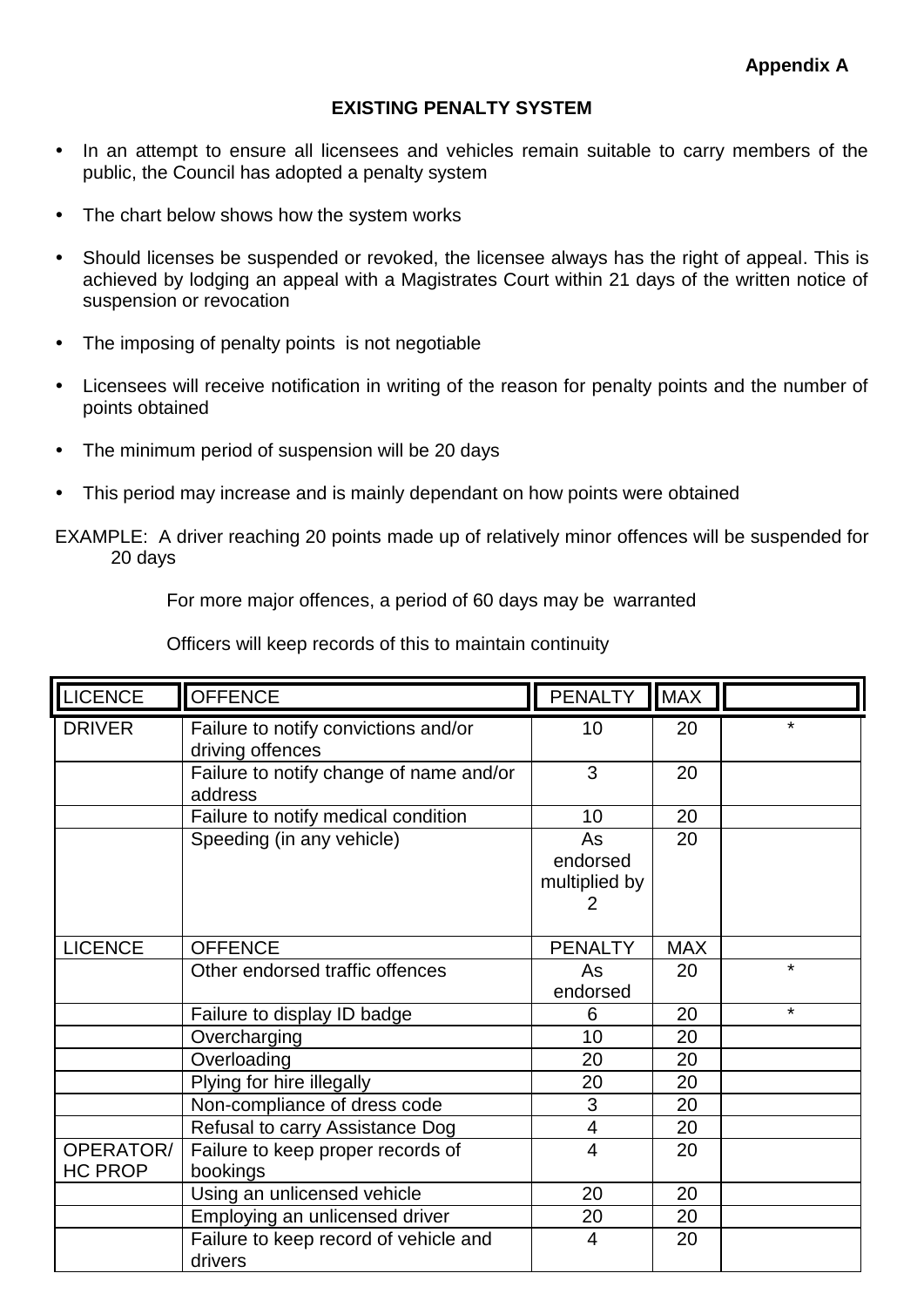## **EXISTING PENALTY SYSTEM**

- In an attempt to ensure all licensees and vehicles remain suitable to carry members of the public, the Council has adopted a penalty system
- The chart below shows how the system works
- Should licenses be suspended or revoked, the licensee always has the right of appeal. This is achieved by lodging an appeal with a Magistrates Court within 21 days of the written notice of suspension or revocation
- The imposing of penalty points is not negotiable
- Licensees will receive notification in writing of the reason for penalty points and the number of points obtained
- The minimum period of suspension will be 20 days
- This period may increase and is mainly dependant on how points were obtained
- EXAMPLE: A driver reaching 20 points made up of relatively minor offences will be suspended for 20 days

For more major offences, a period of 60 days may be warranted

Officers will keep records of this to maintain continuity

| <b>LICENCE</b>              | <b>OFFENCE</b>                                           | <b>PENALTY</b>                       | <b>MAX</b> |         |
|-----------------------------|----------------------------------------------------------|--------------------------------------|------------|---------|
| <b>DRIVER</b>               | Failure to notify convictions and/or<br>driving offences | 10                                   | 20         | ¥       |
|                             | Failure to notify change of name and/or<br>address       | 3                                    | 20         |         |
|                             | Failure to notify medical condition                      | 10                                   | 20         |         |
|                             | Speeding (in any vehicle)                                | As<br>endorsed<br>multiplied by<br>2 | 20         |         |
| <b>LICENCE</b>              | <b>OFFENCE</b>                                           | <b>PENALTY</b>                       | <b>MAX</b> |         |
|                             | Other endorsed traffic offences                          | As<br>endorsed                       | 20         | $\star$ |
|                             | Failure to display ID badge                              | 6                                    | 20         | $\star$ |
|                             | Overcharging                                             | 10                                   | 20         |         |
|                             | Overloading                                              | 20                                   | 20         |         |
|                             | Plying for hire illegally                                | 20                                   | 20         |         |
|                             | Non-compliance of dress code                             | 3                                    | 20         |         |
|                             | Refusal to carry Assistance Dog                          | 4                                    | 20         |         |
| OPERATOR/<br><b>HC PROP</b> | Failure to keep proper records of<br>bookings            | $\overline{4}$                       | 20         |         |
|                             | Using an unlicensed vehicle                              | 20                                   | 20         |         |
|                             | Employing an unlicensed driver                           | 20                                   | 20         |         |
|                             | Failure to keep record of vehicle and<br>drivers         | 4                                    | 20         |         |